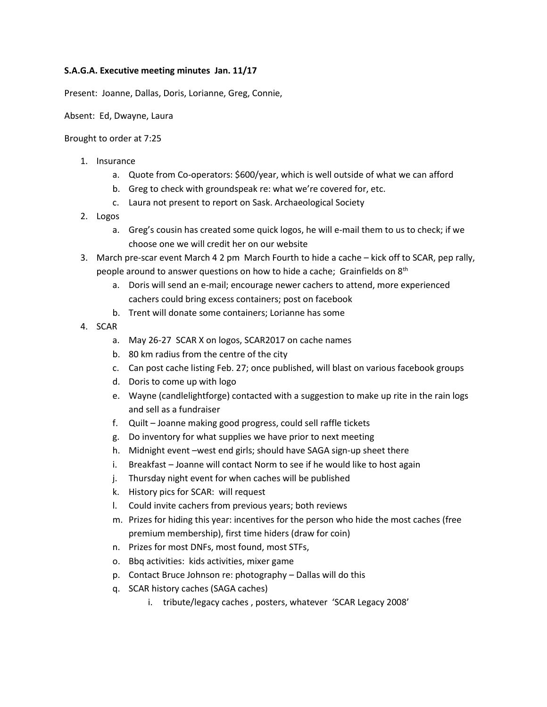## **S.A.G.A. Executive meeting minutes Jan. 11/17**

Present: Joanne, Dallas, Doris, Lorianne, Greg, Connie,

Absent: Ed, Dwayne, Laura

Brought to order at 7:25

- 1. Insurance
	- a. Quote from Co-operators: \$600/year, which is well outside of what we can afford
	- b. Greg to check with groundspeak re: what we're covered for, etc.
	- c. Laura not present to report on Sask. Archaeological Society
- 2. Logos
	- a. Greg's cousin has created some quick logos, he will e-mail them to us to check; if we choose one we will credit her on our website
- 3. March pre-scar event March 4 2 pm March Fourth to hide a cache kick off to SCAR, pep rally, people around to answer questions on how to hide a cache; Grainfields on 8<sup>th</sup>
	- a. Doris will send an e-mail; encourage newer cachers to attend, more experienced cachers could bring excess containers; post on facebook
	- b. Trent will donate some containers; Lorianne has some
- 4. SCAR
	- a. May 26-27 SCAR X on logos, SCAR2017 on cache names
	- b. 80 km radius from the centre of the city
	- c. Can post cache listing Feb. 27; once published, will blast on various facebook groups
	- d. Doris to come up with logo
	- e. Wayne (candlelightforge) contacted with a suggestion to make up rite in the rain logs and sell as a fundraiser
	- f. Quilt Joanne making good progress, could sell raffle tickets
	- g. Do inventory for what supplies we have prior to next meeting
	- h. Midnight event –west end girls; should have SAGA sign-up sheet there
	- i. Breakfast Joanne will contact Norm to see if he would like to host again
	- j. Thursday night event for when caches will be published
	- k. History pics for SCAR: will request
	- l. Could invite cachers from previous years; both reviews
	- m. Prizes for hiding this year: incentives for the person who hide the most caches (free premium membership), first time hiders (draw for coin)
	- n. Prizes for most DNFs, most found, most STFs,
	- o. Bbq activities: kids activities, mixer game
	- p. Contact Bruce Johnson re: photography Dallas will do this
	- q. SCAR history caches (SAGA caches)
		- i. tribute/legacy caches , posters, whatever 'SCAR Legacy 2008'